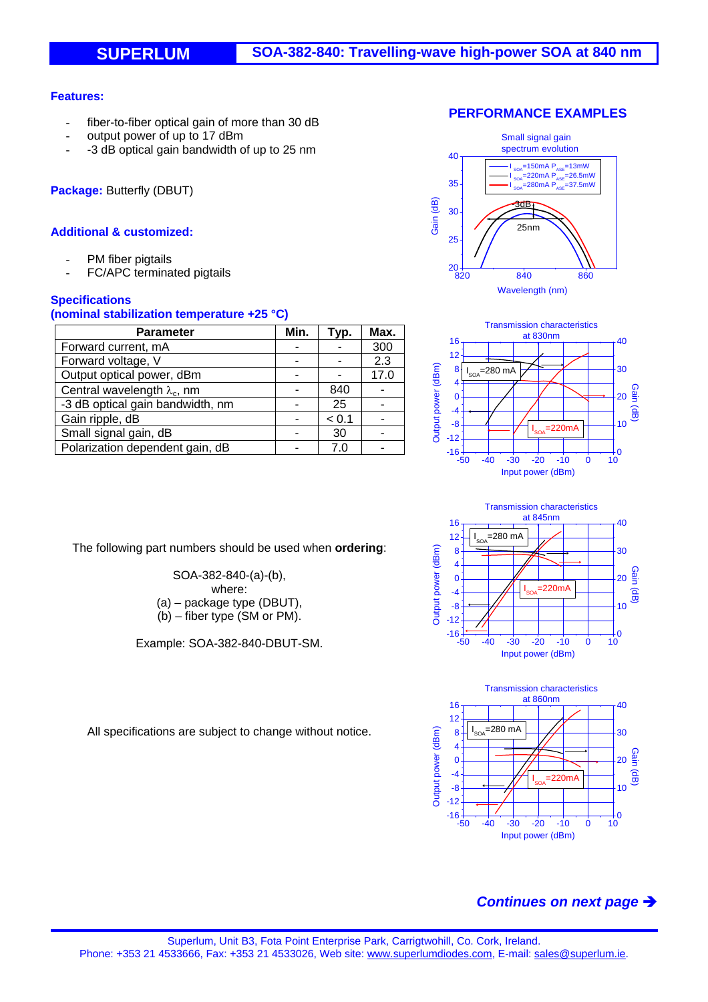### **Features:**

- fiber-to-fiber optical gain of more than 30 dB
- output power of up to 17 dBm
- -3 dB optical gain bandwidth of up to 25 nm

**Package:** Butterfly (DBUT)

### **Additional & customized:**

- PM fiber pigtails
- FC/APC terminated pigtails

### **Specifications**

#### **(nominal stabilization temperature +25 °C)**

| <b>Parameter</b>                    | Min. | Typ.  | Max. |
|-------------------------------------|------|-------|------|
| Forward current, mA                 |      |       | 300  |
| Forward voltage, V                  |      |       | 2.3  |
| Output optical power, dBm           |      |       | 17.0 |
| Central wavelength $\lambda_c$ , nm |      | 840   |      |
| -3 dB optical gain bandwidth, nm    |      | 25    |      |
| Gain ripple, dB                     |      | < 0.1 |      |
| Small signal gain, dB               |      | 30    |      |
| Polarization dependent gain, dB     |      | 7 (   |      |

The following part numbers should be used when **ordering**:

SOA-382-840-(a)-(b), where: (a) – package type (DBUT), (b) – fiber type (SM or PM).

Example: SOA-382-840-DBUT-SM.









All specifications are subject to change without notice.

# *Continues on next page*

### **PERFORMANCE EXAMPLES**